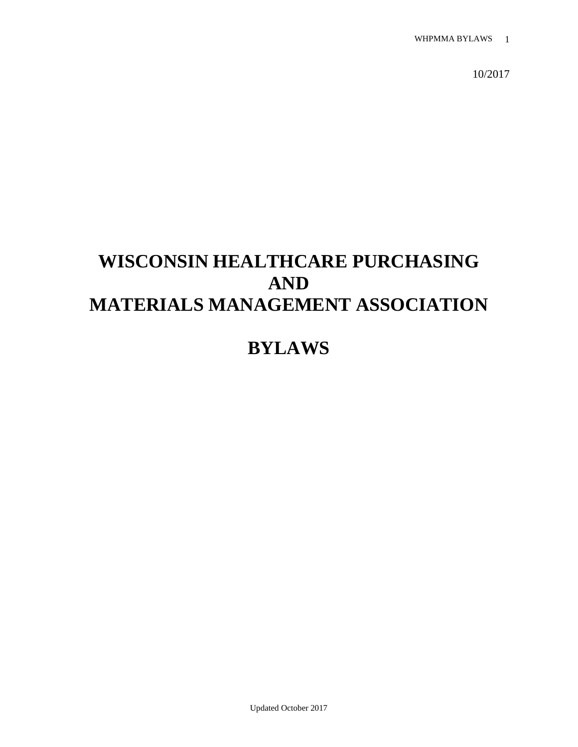10/2017

# **WISCONSIN HEALTHCARE PURCHASING AND MATERIALS MANAGEMENT ASSOCIATION**

# **BYLAWS**

Updated October 2017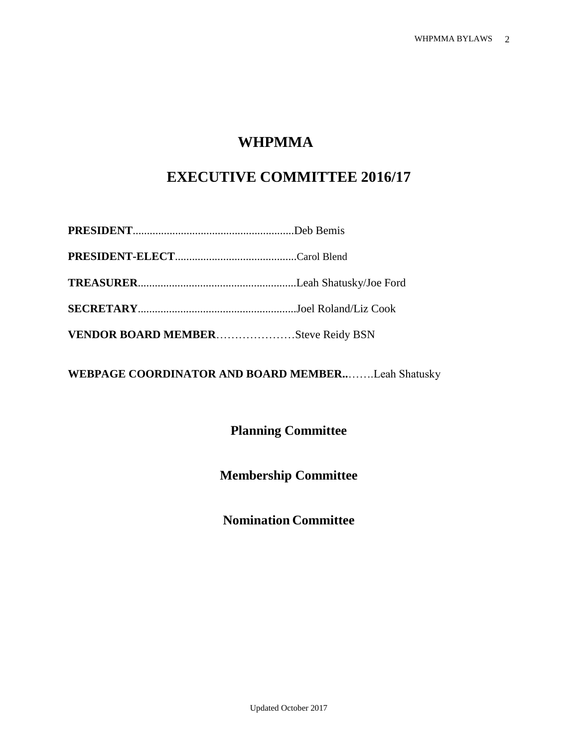# **WHPMMA**

# **EXECUTIVE COMMITTEE 2016/17**

| VENDOR BOARD MEMBERSteve Reidy BSN |  |
|------------------------------------|--|

**WEBPAGE COORDINATOR AND BOARD MEMBER..**…….Leah Shatusky

**Planning Committee**

**Membership Committee**

**Nomination Committee**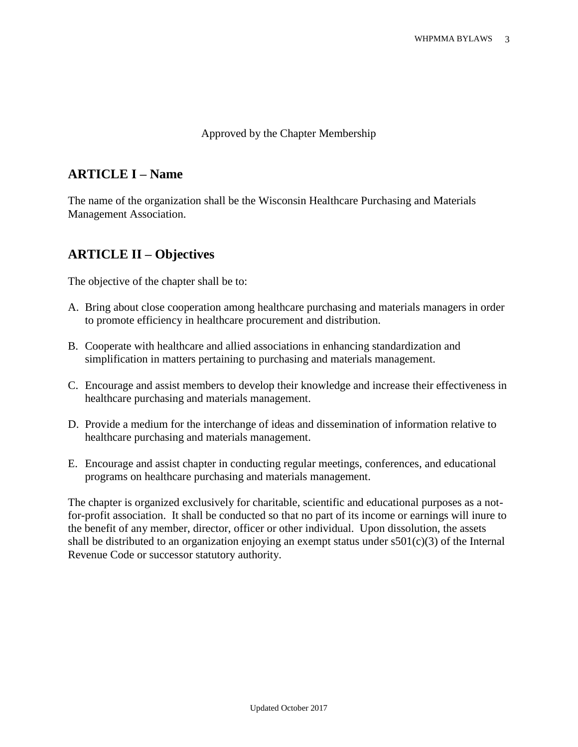#### Approved by the Chapter Membership

### **ARTICLE I – Name**

The name of the organization shall be the Wisconsin Healthcare Purchasing and Materials Management Association.

## **ARTICLE II – Objectives**

The objective of the chapter shall be to:

- A. Bring about close cooperation among healthcare purchasing and materials managers in order to promote efficiency in healthcare procurement and distribution.
- B. Cooperate with healthcare and allied associations in enhancing standardization and simplification in matters pertaining to purchasing and materials management.
- C. Encourage and assist members to develop their knowledge and increase their effectiveness in healthcare purchasing and materials management.
- D. Provide a medium for the interchange of ideas and dissemination of information relative to healthcare purchasing and materials management.
- E. Encourage and assist chapter in conducting regular meetings, conferences, and educational programs on healthcare purchasing and materials management.

The chapter is organized exclusively for charitable, scientific and educational purposes as a notfor-profit association. It shall be conducted so that no part of its income or earnings will inure to the benefit of any member, director, officer or other individual. Upon dissolution, the assets shall be distributed to an organization enjoying an exempt status under  $s501(c)(3)$  of the Internal Revenue Code or successor statutory authority.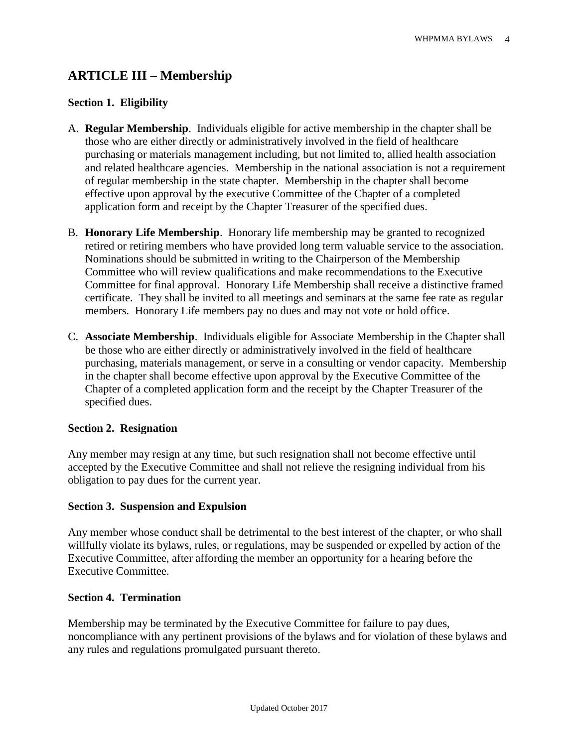# **ARTICLE III – Membership**

#### **Section 1. Eligibility**

- A. **Regular Membership**. Individuals eligible for active membership in the chapter shall be those who are either directly or administratively involved in the field of healthcare purchasing or materials management including, but not limited to, allied health association and related healthcare agencies. Membership in the national association is not a requirement of regular membership in the state chapter. Membership in the chapter shall become effective upon approval by the executive Committee of the Chapter of a completed application form and receipt by the Chapter Treasurer of the specified dues.
- B. **Honorary Life Membership**. Honorary life membership may be granted to recognized retired or retiring members who have provided long term valuable service to the association. Nominations should be submitted in writing to the Chairperson of the Membership Committee who will review qualifications and make recommendations to the Executive Committee for final approval. Honorary Life Membership shall receive a distinctive framed certificate. They shall be invited to all meetings and seminars at the same fee rate as regular members. Honorary Life members pay no dues and may not vote or hold office.
- C. **Associate Membership**. Individuals eligible for Associate Membership in the Chapter shall be those who are either directly or administratively involved in the field of healthcare purchasing, materials management, or serve in a consulting or vendor capacity. Membership in the chapter shall become effective upon approval by the Executive Committee of the Chapter of a completed application form and the receipt by the Chapter Treasurer of the specified dues.

#### **Section 2. Resignation**

Any member may resign at any time, but such resignation shall not become effective until accepted by the Executive Committee and shall not relieve the resigning individual from his obligation to pay dues for the current year.

#### **Section 3. Suspension and Expulsion**

Any member whose conduct shall be detrimental to the best interest of the chapter, or who shall willfully violate its bylaws, rules, or regulations, may be suspended or expelled by action of the Executive Committee, after affording the member an opportunity for a hearing before the Executive Committee.

#### **Section 4. Termination**

Membership may be terminated by the Executive Committee for failure to pay dues, noncompliance with any pertinent provisions of the bylaws and for violation of these bylaws and any rules and regulations promulgated pursuant thereto.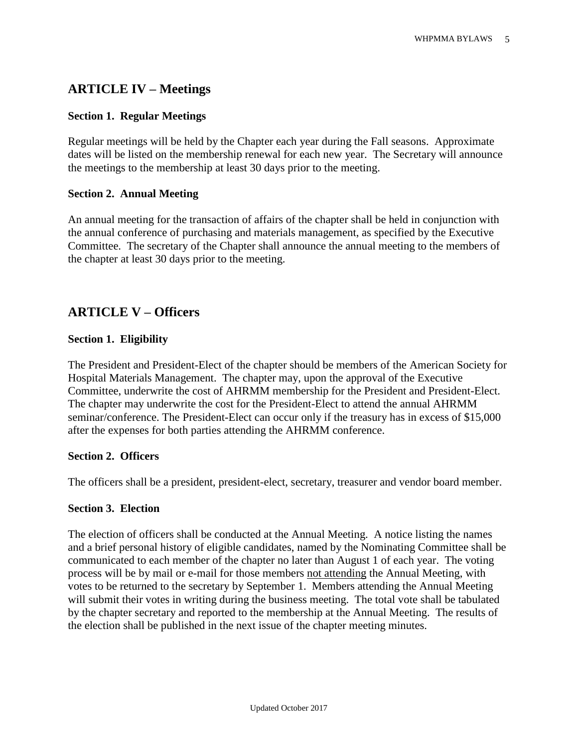# **ARTICLE IV – Meetings**

#### **Section 1. Regular Meetings**

Regular meetings will be held by the Chapter each year during the Fall seasons. Approximate dates will be listed on the membership renewal for each new year. The Secretary will announce the meetings to the membership at least 30 days prior to the meeting.

#### **Section 2. Annual Meeting**

An annual meeting for the transaction of affairs of the chapter shall be held in conjunction with the annual conference of purchasing and materials management, as specified by the Executive Committee. The secretary of the Chapter shall announce the annual meeting to the members of the chapter at least 30 days prior to the meeting.

## **ARTICLE V – Officers**

#### **Section 1. Eligibility**

The President and President-Elect of the chapter should be members of the American Society for Hospital Materials Management. The chapter may, upon the approval of the Executive Committee, underwrite the cost of AHRMM membership for the President and President-Elect. The chapter may underwrite the cost for the President-Elect to attend the annual AHRMM seminar/conference. The President-Elect can occur only if the treasury has in excess of \$15,000 after the expenses for both parties attending the AHRMM conference.

#### **Section 2. Officers**

The officers shall be a president, president-elect, secretary, treasurer and vendor board member.

#### **Section 3. Election**

The election of officers shall be conducted at the Annual Meeting. A notice listing the names and a brief personal history of eligible candidates, named by the Nominating Committee shall be communicated to each member of the chapter no later than August 1 of each year. The voting process will be by mail or e-mail for those members not attending the Annual Meeting, with votes to be returned to the secretary by September 1. Members attending the Annual Meeting will submit their votes in writing during the business meeting. The total vote shall be tabulated by the chapter secretary and reported to the membership at the Annual Meeting. The results of the election shall be published in the next issue of the chapter meeting minutes.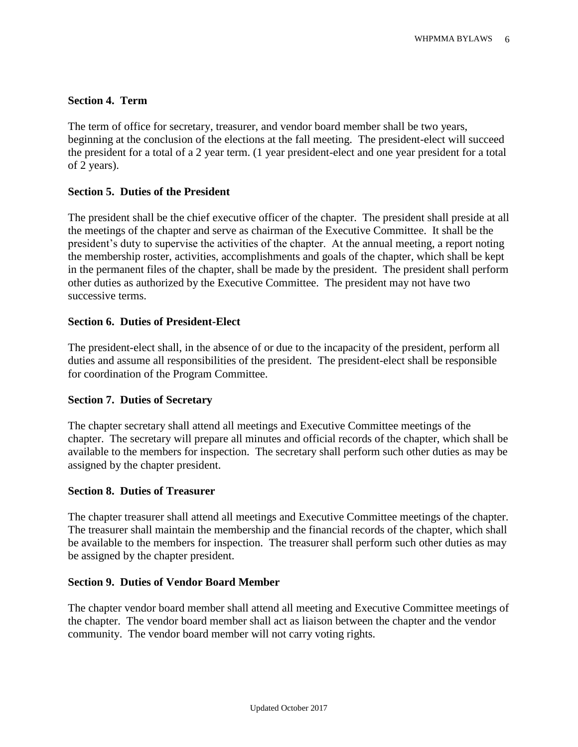#### **Section 4. Term**

The term of office for secretary, treasurer, and vendor board member shall be two years, beginning at the conclusion of the elections at the fall meeting. The president-elect will succeed the president for a total of a 2 year term. (1 year president-elect and one year president for a total of 2 years).

#### **Section 5. Duties of the President**

The president shall be the chief executive officer of the chapter. The president shall preside at all the meetings of the chapter and serve as chairman of the Executive Committee. It shall be the president's duty to supervise the activities of the chapter. At the annual meeting, a report noting the membership roster, activities, accomplishments and goals of the chapter, which shall be kept in the permanent files of the chapter, shall be made by the president. The president shall perform other duties as authorized by the Executive Committee. The president may not have two successive terms.

#### **Section 6. Duties of President-Elect**

The president-elect shall, in the absence of or due to the incapacity of the president, perform all duties and assume all responsibilities of the president. The president-elect shall be responsible for coordination of the Program Committee.

#### **Section 7. Duties of Secretary**

The chapter secretary shall attend all meetings and Executive Committee meetings of the chapter. The secretary will prepare all minutes and official records of the chapter, which shall be available to the members for inspection. The secretary shall perform such other duties as may be assigned by the chapter president.

#### **Section 8. Duties of Treasurer**

The chapter treasurer shall attend all meetings and Executive Committee meetings of the chapter. The treasurer shall maintain the membership and the financial records of the chapter, which shall be available to the members for inspection. The treasurer shall perform such other duties as may be assigned by the chapter president.

#### **Section 9. Duties of Vendor Board Member**

The chapter vendor board member shall attend all meeting and Executive Committee meetings of the chapter. The vendor board member shall act as liaison between the chapter and the vendor community. The vendor board member will not carry voting rights.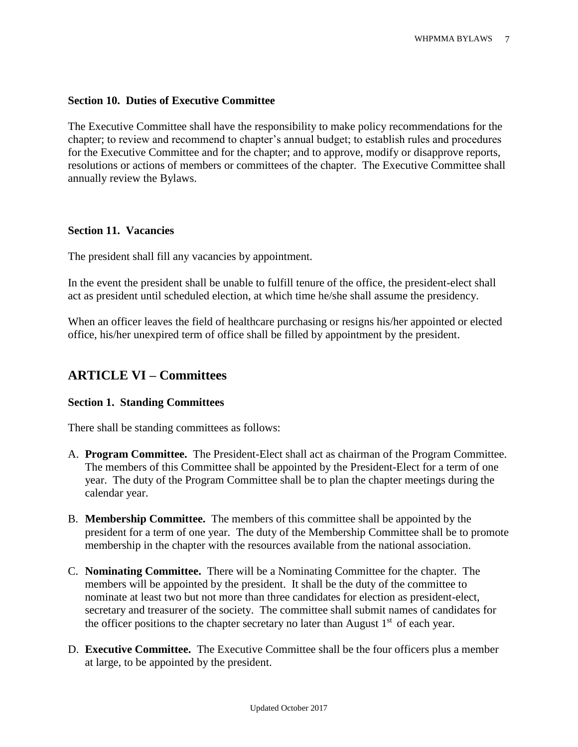#### **Section 10. Duties of Executive Committee**

The Executive Committee shall have the responsibility to make policy recommendations for the chapter; to review and recommend to chapter's annual budget; to establish rules and procedures for the Executive Committee and for the chapter; and to approve, modify or disapprove reports, resolutions or actions of members or committees of the chapter. The Executive Committee shall annually review the Bylaws.

#### **Section 11. Vacancies**

The president shall fill any vacancies by appointment.

In the event the president shall be unable to fulfill tenure of the office, the president-elect shall act as president until scheduled election, at which time he/she shall assume the presidency.

When an officer leaves the field of healthcare purchasing or resigns his/her appointed or elected office, his/her unexpired term of office shall be filled by appointment by the president.

# **ARTICLE VI – Committees**

#### **Section 1. Standing Committees**

There shall be standing committees as follows:

- A. **Program Committee.** The President-Elect shall act as chairman of the Program Committee. The members of this Committee shall be appointed by the President-Elect for a term of one year. The duty of the Program Committee shall be to plan the chapter meetings during the calendar year.
- B. **Membership Committee.** The members of this committee shall be appointed by the president for a term of one year. The duty of the Membership Committee shall be to promote membership in the chapter with the resources available from the national association.
- C. **Nominating Committee.** There will be a Nominating Committee for the chapter. The members will be appointed by the president. It shall be the duty of the committee to nominate at least two but not more than three candidates for election as president-elect, secretary and treasurer of the society. The committee shall submit names of candidates for the officer positions to the chapter secretary no later than August  $1<sup>st</sup>$  of each year.
- D. **Executive Committee.** The Executive Committee shall be the four officers plus a member at large, to be appointed by the president.